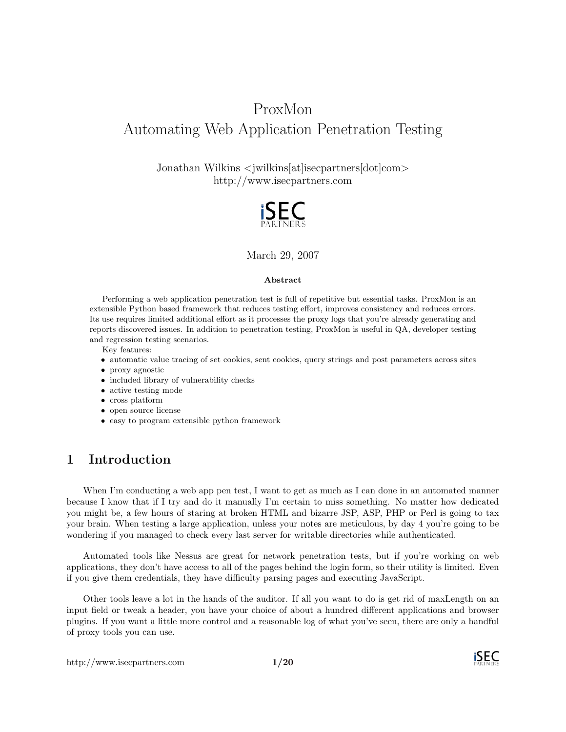# ProxMon Automating Web Application Penetration Testing

Jonathan Wilkins <jwilkins[at]isecpartners[dot]com> http://www.isecpartners.com



March 29, 2007

#### Abstract

Performing a web application penetration test is full of repetitive but essential tasks. ProxMon is an extensible Python based framework that reduces testing effort, improves consistency and reduces errors. Its use requires limited additional effort as it processes the proxy logs that you're already generating and reports discovered issues. In addition to penetration testing, ProxMon is useful in QA, developer testing and regression testing scenarios.

- Key features:
- automatic value tracing of set cookies, sent cookies, query strings and post parameters across sites
- proxy agnostic
- included library of vulnerability checks
- active testing mode
- cross platform
- open source license
- easy to program extensible python framework

## 1 Introduction

When I'm conducting a web app pen test, I want to get as much as I can done in an automated manner because I know that if I try and do it manually I'm certain to miss something. No matter how dedicated you might be, a few hours of staring at broken HTML and bizarre JSP, ASP, PHP or Perl is going to tax your brain. When testing a large application, unless your notes are meticulous, by day 4 you're going to be wondering if you managed to check every last server for writable directories while authenticated.

Automated tools like Nessus are great for network penetration tests, but if you're working on web applications, they don't have access to all of the pages behind the login form, so their utility is limited. Even if you give them credentials, they have difficulty parsing pages and executing JavaScript.

Other tools leave a lot in the hands of the auditor. If all you want to do is get rid of maxLength on an input field or tweak a header, you have your choice of about a hundred different applications and browser plugins. If you want a little more control and a reasonable log of what you've seen, there are only a handful of proxy tools you can use.

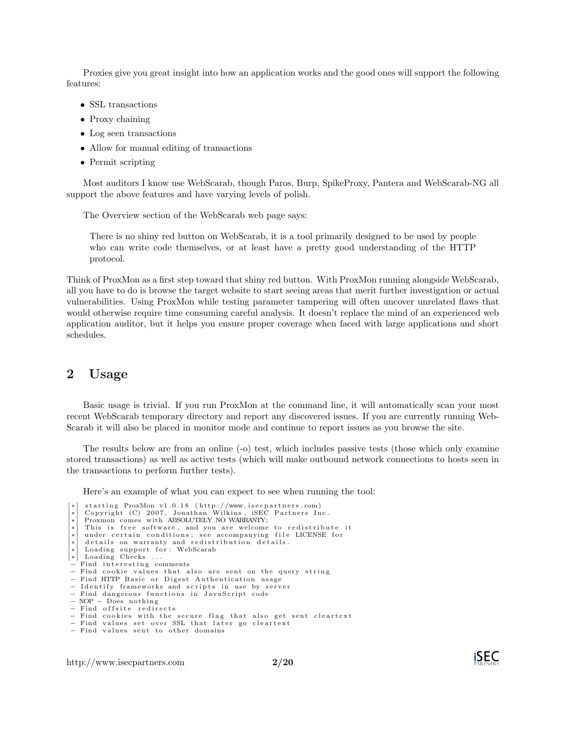Proxies give you great insight into how an application works and the good ones will support the following features:

- SSL transactions
- Proxy chaining
- Log seen transactions
- Allow for manual editing of transactions
- Permit scripting

Most auditors I know use WebScarab, though Paros, Burp, SpikeProxy, Pantera and WebScarab-NG all support the above features and have varying levels of polish.

The Overview section of the WebScarab web page says:

There is no shiny red button on WebScarab, it is a tool primarily designed to be used by people who can write code themselves, or at least have a pretty good understanding of the HTTP protocol.

Think of ProxMon as a first step toward that shiny red button. With ProxMon running alongside WebScarab, all you have to do is browse the target website to start seeing areas that merit further investigation or actual vulnerabilities. Using ProxMon while testing parameter tampering will often uncover unrelated flaws that would otherwise require time consuming careful analysis. It doesn't replace the mind of an experienced web application auditor, but it helps you ensure proper coverage when faced with large applications and short schedules.

### 2 Usage

Basic usage is trivial. If you run ProxMon at the command line, it will automatically scan your most recent WebScarab temporary directory and report any discovered issues. If you are currently running Web-Scarab it will also be placed in monitor mode and continue to report issues as you browse the site.

The results below are from an online (-o) test, which includes passive tests (those which only examine stored transactions) as well as active tests (which will make outbound network connections to hosts seen in the transactions to perform further tests).

Here's an example of what you can expect to see when running the tool:

[\*] starting ProxMon v1.0.18 (http://www.isecpartners.com)<br>[\*] Copyright (C) 2007, Jonathan Wilkins, iSEC Partners Inc.<br>[\*] Proxmon comes with ABSOLUTELY NO WARRANIY;<br>[\*] This is free software, and you are welcome to redis under certain conditions; see accompanying file LICENSE for details on warranty and redistribution details. \* Loading support for: WebScarab [\*] Loading Checks ... Find interesting comments Find cookie values that also are sent on the query string Find HTTP Basic or Digest Authentication usage I dentify frameworks and scripts in use by server − Find dangerous functions in JavaScript code − NOP − Does n o th in g  $−$  Find offsite redirects − Find cookies with the secure flag that also get sent cleartext<br>− Find values set over SSL that later go cleartext  $-$  Find values sent to other domains

http://www.isecpartners.com 2[/20](#page-19-0)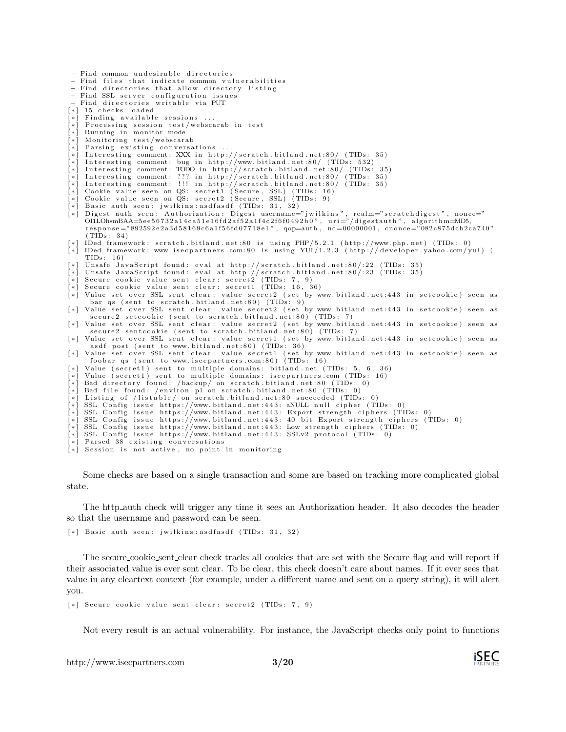```
− Find common undesirable directories
- Find files that indicate common vulnerabilities
 - Find directories that allow directory listing
− Find SSL server configuration issues
   Find directories writable via PUT
[*] 15 checks loaded
 * ] Finding available sessions
    Processing session test/webscarab in test
    Running in monitor mode
 *] Monitoring test/webscarab
 *] Parsing existing conversations
    Interesting comment: XXX in http://scratch.bitland.net:80/ (TIDs: 35)
[*] Interesting comment: bug in http://www.bitland.net:80/ (TIDs: 532)<br>[*] Interesting comment: TODO in http://scratch.bitland.net:80/ (TIDs: 35)
[*] Interesting comment: ??? in http://scratch.bitland.net:80/ (TIDs: 35)<br>[*] Interesting comment: !!! in http://scratch.bitland.net:80/ (TIDs: 35)<br>[*] Cookie value seen on QS: secret1 (Secure, SSL) (TIDs: 9)<br>[*] Cookie va
[*] Basic auth seen: jwilkins:asdfasdf (TIDs: 31, 32)<br>[*] Digest auth seen: Authorization: Digest username="jwilkins", realm="scratchdigest", nonce="<br>OILObsmBAA=5ee56732a14ca51e16fd3af52a1fac2f6f0492b0", uri="/digestauth"
     ( TIDs : 3 4 )
[*] IDed framework: scratch.bitland.net:80 is using PHP/5.2.1 (http://www.php.net) (TIDs: 0)<br>[*] IDed framework: www.isecpartners.com:80 is using YUI/1.2.3 (http://developer.yahoo.com/yui) (
     TIDs: 16)
[*] Unsafe JavaScript found: eval at http://scratch.bitland.net:80/:22 (TIDs: 35)<br>[*] Unsafe JavaScript found: eval at http://scratch.bitland.net:80/:23 (TIDs: 35)
[*] Secure cookie value sent clear: secret2 (TIDs: 7, 9)<br>[*] Secure cookie value sent clear: secret1 (TIDs: 16, 36)
[*] Value set over SSL sent clear: value secret2 (set by www.bitland.net:443 in setcookie) seen as
      bar qs ( sent to scratch . bitland . net : 80) (TIDs: 9)
[*] Value set over SSL sent clear: value secret2 (set by www.bitland.net:443 in setcookie) seen as
       secure2 setcookie (sent to scratch.bitland.net:80) (TIDs: 7)
[*] Value set over SSL sent clear: value secret2 (set by www.bitland.net:443 in setcookie) seen as<br>secure2 sentcookie (sent to scratch.bitland.net:80) (TIDs: 7)
[*] Value set over SSL sent clear: value secret1 (set by www.bitland.net: 443 in setcookie) seen as
       asdf post (sent to www.bitland.net:80) (TIDs: 36)
[*] Value set over SSL sent clear: value secret1 (set by www.bitland.net:443 in setcookie) seen as foobar qs (sent to www.isecpartners.com:80) (TIDs: 16)
       foobar qs ( sent to www. is ecpartners . com : 80)
     Value (secret1) sent to multiple domains: bitland.net (TIDs: 5, 6, 36)
     Value (secret1) sent to multiple domains: isecpartners com (TIDs: 16)
    Bad directory found: /backup/ on scratch.bitland.net:80 (TIDs: 0)
    Bad file found: / environ.pl on scratch.bitland.net:80 (TIDs:
    Listing of /listable/ on scratch.bitland.net:80 succeeded (TIDs:
     SSL Config issue https://www.bitland.net:443: aNULL null cipher (TIDs: 0)
    SSL Config issue https://www.bitland.net:443: Export strength ciphers (TIDs: 0)
[*] SSL Config issue https://www.bitland.net:443: 40 bit Export strength ciphers (TIDs: 0)<br>[*] SSL Config issue https://www.bitland.net:443: Low strength ciphers (TIDs: 0)
 * SSL Config issue https://www.bitland.net:443: SSLv2 protocol (TIDs: 0)
    Parsed 38 existing conversations
    Session is not active, no point in monitoring
```
Some checks are based on a single transaction and some are based on tracking more complicated global state.

The http auth check will trigger any time it sees an Authorization header. It also decodes the header so that the username and password can be seen.

[\*] Basic auth seen: jwilkins: asdfasdf (TIDs: 31, 32)

The secure cookie sent clear check tracks all cookies that are set with the Secure flag and will report if their associated value is ever sent clear. To be clear, this check doesn't care about names. If it ever sees that value in any cleartext context (for example, under a different name and sent on a query string), it will alert you.

[\*] Secure cookie value sent clear: secret2 (TIDs: 7, 9)

Not every result is an actual vulnerability. For instance, the JavaScript checks only point to functions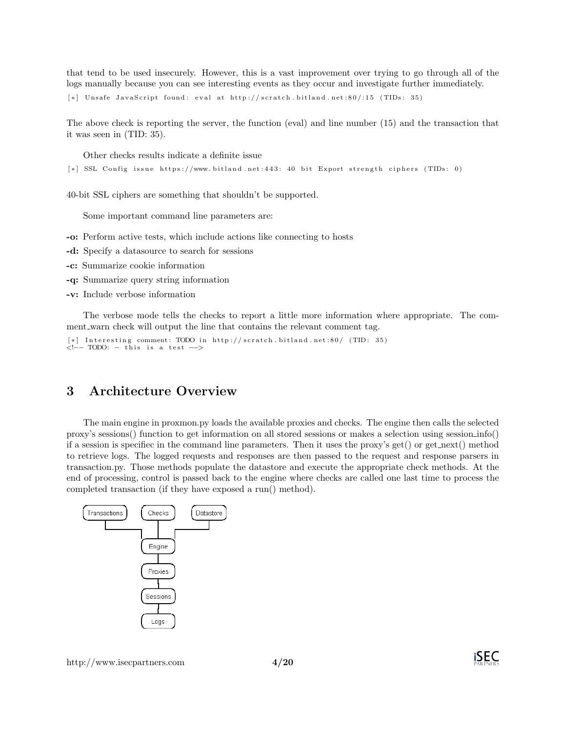that tend to be used insecurely. However, this is a vast improvement over trying to go through all of the logs manually because you can see interesting events as they occur and investigate further immediately.

```
[*] Unsafe JavaScript found: eval at http://scratch.bitland.net:80/:15 (TIDs: 35)
```
The above check is reporting the server, the function (eval) and line number (15) and the transaction that it was seen in (TID: 35).

Other checks results indicate a definite issue

```
[*] SSL Config issue https://www.bitland.net:443: 40 bit Export strength ciphers (TIDs: 0)
```
40-bit SSL ciphers are something that shouldn't be supported.

Some important command line parameters are:

-o: Perform active tests, which include actions like connecting to hosts

- -d: Specify a datasource to search for sessions
- -c: Summarize cookie information
- -q: Summarize query string information
- -v: Include verbose information

The verbose mode tells the checks to report a little more information where appropriate. The comment warn check will output the line that contains the relevant comment tag.

```
[*] Interesting comment: TODO in http://scratch.bitland.net:80/ (TID: 35)<br><!-- TODO: - this is a taxt
   - TODO: - this is a test -->
```
## 3 Architecture Overview

The main engine in proxmon.py loads the available proxies and checks. The engine then calls the selected proxy's sessions() function to get information on all stored sessions or makes a selection using session info() if a session is specifiec in the command line parameters. Then it uses the proxy's get() or get next() method to retrieve logs. The logged requests and responses are then passed to the request and response parsers in transaction.py. Those methods populate the datastore and execute the appropriate check methods. At the end of processing, control is passed back to the engine where checks are called one last time to process the completed transaction (if they have exposed a run() method).



http://www.isecpartners.com 4[/20](#page-19-0)

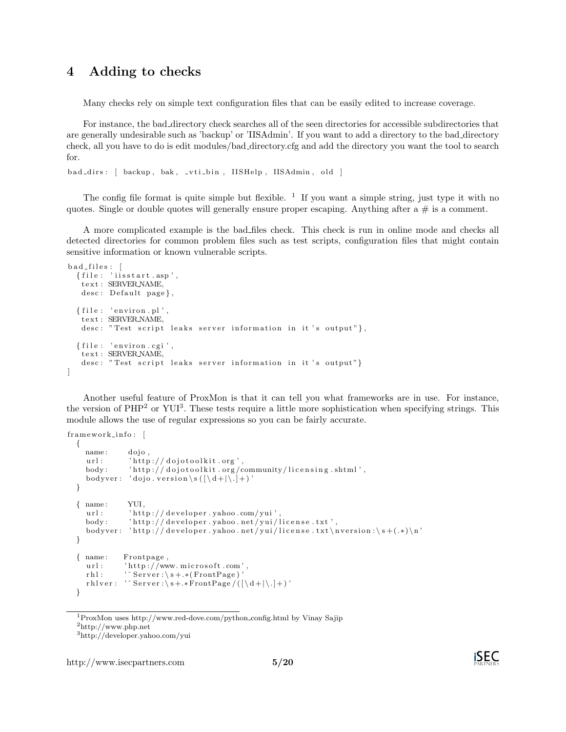## 4 Adding to checks

Many checks rely on simple text configuration files that can be easily edited to increase coverage.

For instance, the bad directory check searches all of the seen directories for accessible subdirectories that are generally undesirable such as 'backup' or 'IISAdmin'. If you want to add a directory to the bad directory check, all you have to do is edit modules/bad directory.cfg and add the directory you want the tool to search for.

bad\_dirs: [ backup, bak, \_vti\_bin, IISHelp, IISAdmin, old ]

The config file format is quite simple but flexible.  $1$  If you want a simple string, just type it with no quotes. Single or double quotes will generally ensure proper escaping. Anything after  $a \#$  is a comment.

A more complicated example is the bad files check. This check is run in online mode and checks all detected directories for common problem files such as test scripts, configuration files that might contain sensitive information or known vulnerable scripts.

```
bad files: [
  { file : 'iisstart.asp',
   t e x t : SERVER NAME,
   desc : Default page},
  { file : 'environ . pl',
   t e x t : SERVER NAME,
   desc: "Test script leaks server information in it's output"},
  \{ file: 'environment.cgi' \}t e x t : SERVER NAME,
   desc: "Test script leaks server information in it's output"}
]
```
Another useful feature of ProxMon is that it can tell you what frameworks are in use. For instance, the version of PHP<sup>[2](#page-4-1)</sup> or YUI<sup>[3](#page-4-2)</sup>. These tests require a little more sophistication when specifying strings. This module allows the use of regular expressions so you can be fairly accurate.

```
framework_info:{
    name: dojo,
    url : ' http ://dojotoolkit.org',
    body: 'http://dojotoolkit.org/community/licensing.shtml',
    bodyver: 'dojo.version\s(\left[\langle d+|\langle .\rangle + \rangle \right]'
  }
  { name : YUI,
    url : 'http://developer.yahoo.com/yui',
    body: 'http://developer.yahoo.net/yui/license.txt',
     bodyver : 'http ://developer .yahoo .net/yui/license .txt\nversion :\s+(.*)\n'
  }
  { name : Frontpage ,
    url: 'http://www.microsoft.com',
    r h l : "Server : \s + .*(FrontPage)r h l v er : ' \text{Server} : \S + * \text{FrontPage}/((\{\dagger\} + \{\ddagger\})'
  }
```
<span id="page-4-1"></span><span id="page-4-0"></span><sup>1</sup>ProxMon uses http://www.red-dove.com/python config.html by Vinay Sajip <sup>2</sup>http://www.php.net

<span id="page-4-2"></span><sup>3</sup>http://developer.yahoo.com/yui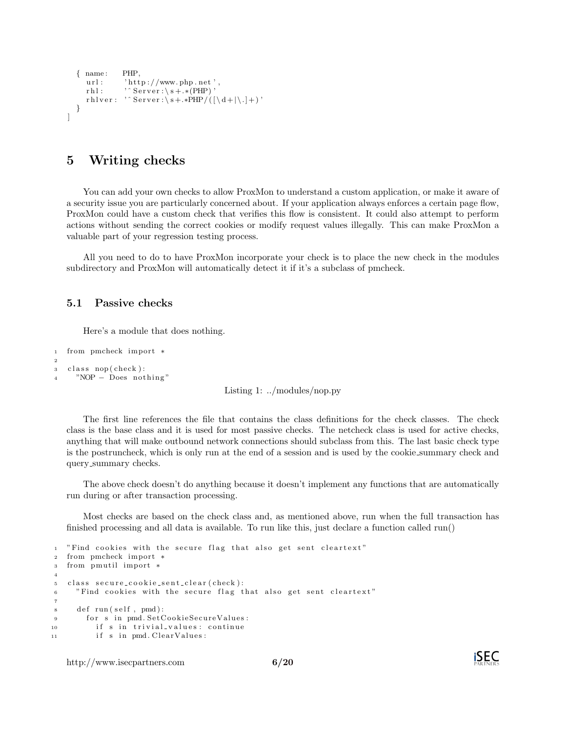```
{ name : PHP,
      url: 'http://www.php.net'
      r h l : \cdot ' ^ Server : \ s + .* (PHP) '
      r h l v e r : \cdot \circ S e r v e r : \sqrt{s + .*PHP}/( [\sqrt{d +}|\cdot|] + )}
]
```
## 5 Writing checks

You can add your own checks to allow ProxMon to understand a custom application, or make it aware of a security issue you are particularly concerned about. If your application always enforces a certain page flow, ProxMon could have a custom check that verifies this flow is consistent. It could also attempt to perform actions without sending the correct cookies or modify request values illegally. This can make ProxMon a valuable part of your regression testing process.

All you need to do to have ProxMon incorporate your check is to place the new check in the modules subdirectory and ProxMon will automatically detect it if it's a subclass of pmcheck.

#### 5.1 Passive checks

Here's a module that does nothing.

```
1 from pmcheck import ∗
2
s class nop (check):
4 "NOP – Does nothing"
```
Listing 1: ../modules/nop.py

The first line references the file that contains the class definitions for the check classes. The check class is the base class and it is used for most passive checks. The netcheck class is used for active checks, anything that will make outbound network connections should subclass from this. The last basic check type is the postruncheck, which is only run at the end of a session and is used by the cookie summary check and query summary checks.

The above check doesn't do anything because it doesn't implement any functions that are automatically run during or after transaction processing.

Most checks are based on the check class and, as mentioned above, run when the full transaction has finished processing and all data is available. To run like this, just declare a function called run()

```
1 "Find cookies with the secure flag that also get sent cleartext"
2 from pmcheck import ∗
3 from pmu til import ∗
4
5 class secure_cookie_sent_clear (check):
6 "Find cookies with the secure flag that also get sent cleartext"
7
\text{se} def run (\text{self}, \text{pmd}):
9 for s in pmd. SetCookieSecureValues:
10 if s in trivial_values: continue
11 if s in pmd. Clear Values:
```
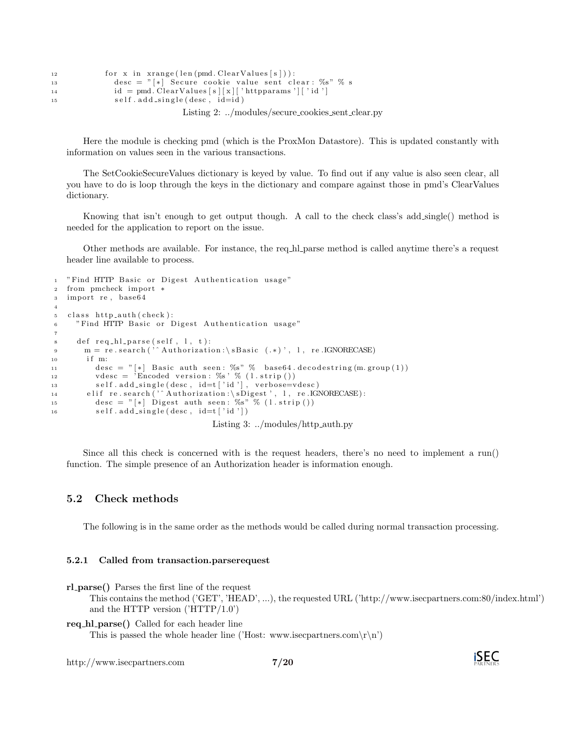```
12 for x in x \text{ range}(\text{len}(\text{pmd. ClearValues}[s])):
13 desc = ^{"}[*] Secure cookie value sent clear: \%s" % s
14 id = pmd. Clear Values [s][x][' httpparams '][' id ']
15 self.add_single(desc, id=id)
```
Listing 2: ../modules/secure\_cookies\_sent\_clear.py

Here the module is checking pmd (which is the ProxMon Datastore). This is updated constantly with information on values seen in the various transactions.

The SetCookieSecureValues dictionary is keyed by value. To find out if any value is also seen clear, all you have to do is loop through the keys in the dictionary and compare against those in pmd's ClearValues dictionary.

Knowing that isn't enough to get output though. A call to the check class's add\_single() method is needed for the application to report on the issue.

Other methods are available. For instance, the req hl parse method is called anytime there's a request header line available to process.

```
1 "Find HTTP Basic or Digest Authentication usage"
2 from pmcheck import ∗
3 import re, base64
4
5 class http_auth(check):
6 "Find HTTP Basic or Digest Authentication usage"
7
\delta def req_hl_parse(self, 1, t):
9 m = re.search('^Authorization:\sBasic (.*)', 1, re.IGNORECASE)
10 if m:
11 \text{desc} = "[*] Basic auth seen: %s" % base64.decodestring (m. group (1))
12 vdesc = \overline{R}r\acute{E}r\acute{E}r version : %s ' % (1. strip ())
13 self.add_single(desc, id=t['id'], verbose=vdesc)
14 elif re.search('^Authorization:\sDigest', l, re.IGNORECASE):
15 desc = "[*] Digest auth seen: \%s" \% (l.strip())
16 self. add_single(desc, id=t ['id'])
                                  Listing 3: ../modules/http_auth.py
```
Since all this check is concerned with is the request headers, there's no need to implement a run() function. The simple presence of an Authorization header is information enough.

#### 5.2 Check methods

The following is in the same order as the methods would be called during normal transaction processing.

#### 5.2.1 Called from transaction.parserequest

rl parse() Parses the first line of the request

This contains the method ('GET', 'HEAD', ...), the requested URL ('http://www.isecpartners.com:80/index.html') and the HTTP version ('HTTP/1.0')

req\_hl\_parse() Called for each header line

This is passed the whole header line ('Host: www.isecpartners.com\r\n')

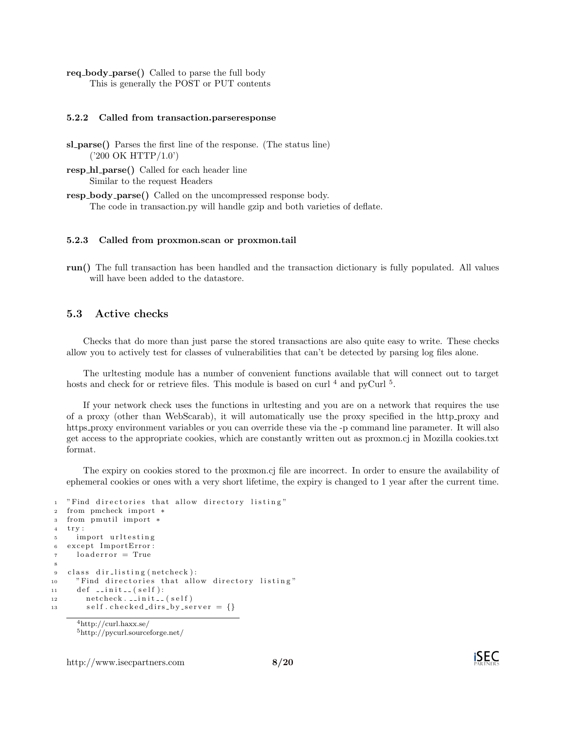req body parse() Called to parse the full body This is generally the POST or PUT contents

#### 5.2.2 Called from transaction.parseresponse

- sl\_parse() Parses the first line of the response. (The status line) ('200 OK HTTP/1.0')
- resp\_hl\_parse() Called for each header line Similar to the request Headers
- resp body parse() Called on the uncompressed response body. The code in transaction.py will handle gzip and both varieties of deflate.

#### 5.2.3 Called from proxmon.scan or proxmon.tail

run() The full transaction has been handled and the transaction dictionary is fully populated. All values will have been added to the datastore.

#### 5.3 Active checks

Checks that do more than just parse the stored transactions are also quite easy to write. These checks allow you to actively test for classes of vulnerabilities that can't be detected by parsing log files alone.

The urltesting module has a number of convenient functions available that will connect out to target hosts and check for or retrieve files. This module is based on curl  $^4$  $^4$  and pyCurl  $^5$  $^5$ .

If your network check uses the functions in urltesting and you are on a network that requires the use of a proxy (other than WebScarab), it will automatically use the proxy specified in the http proxy and https proxy environment variables or you can override these via the -p command line parameter. It will also get access to the appropriate cookies, which are constantly written out as proxmon.cj in Mozilla cookies.txt format.

The expiry on cookies stored to the proxmon.cj file are incorrect. In order to ensure the availability of ephemeral cookies or ones with a very short lifetime, the expiry is changed to 1 year after the current time.

```
1 "Find directories that allow directory listing"
2 from pmcheck import ∗
3 from pmutil import *
4 try:
5 import urltesting
6 except ImportError:
7 \qquad loaderror = True
8
9 class dir-listing (netcheck):
10 "Find directories that allow directory listing"
11 def \text{1} init \text{1} (self):
12 netcheck. __init__(self)
13 self.checked_dirs_by_server = {}
     4http://curl.haxx.se/
```
<span id="page-7-1"></span><span id="page-7-0"></span><sup>5</sup>http://pycurl.sourceforge.net/



http://www.isecpartners.com 8[/20](#page-19-0)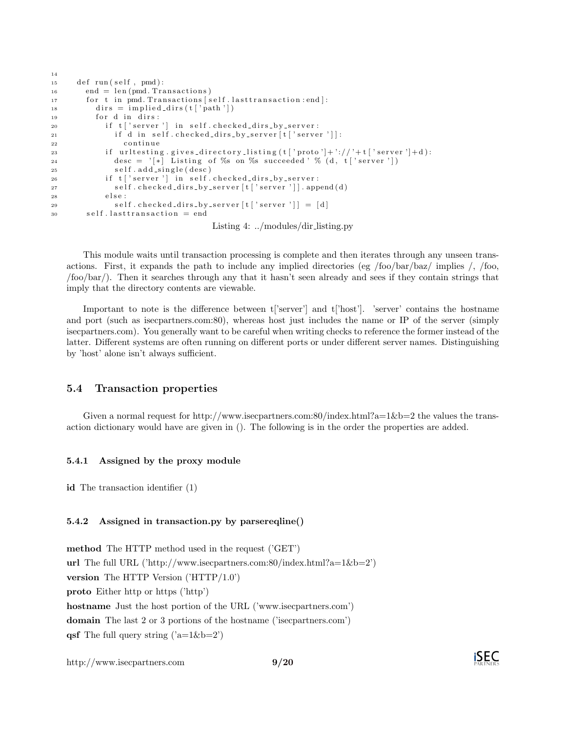| 14              |                                                                                                               |
|-----------------|---------------------------------------------------------------------------------------------------------------|
| 15 <sub>1</sub> | def run(self, pmd):                                                                                           |
| $16\,$          | $end = len (pmd. Transactions)$                                                                               |
| 17              | for t in pmd. Transactions [self.lasttransaction:end]:                                                        |
| 18              | $\text{dirs} = \text{implied-dirs}(\text{t} \mid \text{'path'} \mid)$                                         |
| 19              | for d in dirs:                                                                                                |
| 20              | if t 'server'  in self.checked_dirs_by_server:                                                                |
| $^{21}$         | if d in self.checked_dirs_by_server[t]'server']]:                                                             |
| 22              | continue                                                                                                      |
| 23              | if urltesting gives directory listing $(t \mid 'proto'] + \frac{1}{2} / \frac{1}{2} + t \mid 'server'] + d$ : |
| 24              | desc = $\lceil * \rceil$ Listing of %s on %s succeeded ' % (d, t   server '])                                 |
| 25              | self.add_single(desc)                                                                                         |
| 26              | if t['server'] in self.checked_dirs_by_server:                                                                |
| 27              | self.checked_dirs_by_server[t]'server']].append(d)                                                            |
| 28              | else:                                                                                                         |
| 29              | self.checked_dirs_by_server[t]'server']] = [d]                                                                |
| 30              | $self. last transaction = end$                                                                                |
|                 |                                                                                                               |

Listing 4: ../modules/dir listing.py

This module waits until transaction processing is complete and then iterates through any unseen transactions. First, it expands the path to include any implied directories (eg /foo/bar/baz/ implies /, /foo, /foo/bar/). Then it searches through any that it hasn't seen already and sees if they contain strings that imply that the directory contents are viewable.

Important to note is the difference between t['server'] and t['host']. 'server' contains the hostname and port (such as isecpartners.com:80), whereas host just includes the name or IP of the server (simply isecpartners.com). You generally want to be careful when writing checks to reference the former instead of the latter. Different systems are often running on different ports or under different server names. Distinguishing by 'host' alone isn't always sufficient.

### 5.4 Transaction properties

Given a normal request for http://www.isecpartners.com:80/index.html?a=1&b=2 the values the transaction dictionary would have are given in (). The following is in the order the properties are added.

#### 5.4.1 Assigned by the proxy module

id The transaction identifier (1)

#### 5.4.2 Assigned in transaction.py by parsereqline()

method The HTTP method used in the request ('GET') url The full URL ('http://www.isecpartners.com:80/index.html?a=1&b=2') version The HTTP Version ('HTTP/1.0') proto Either http or https ('http') hostname Just the host portion of the URL ('www.isecpartners.com') domain The last 2 or 3 portions of the hostname ('isecpartners.com') **qsf** The full query string  $('a=1&b=2')$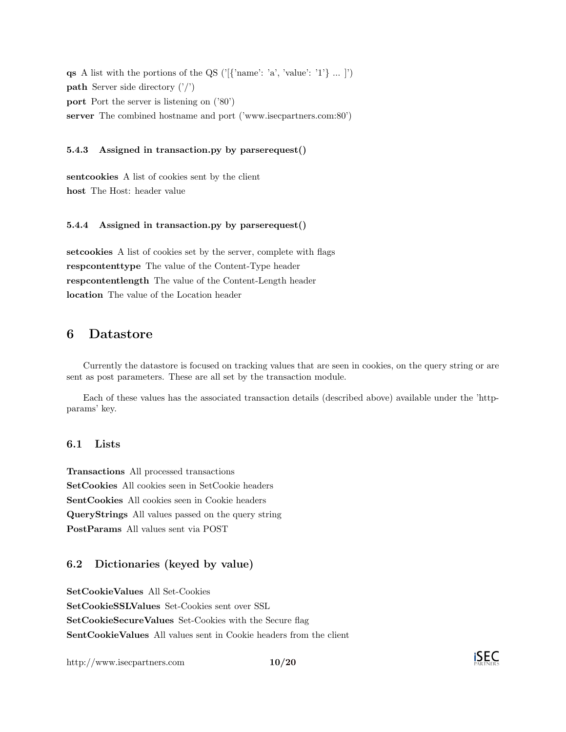**qs** A list with the portions of the QS ('[{'name': 'a', 'value': '1'} ... |') **path** Server side directory  $('')$ port Port the server is listening on ('80') server The combined hostname and port ('www.isecpartners.com:80')

#### 5.4.3 Assigned in transaction.py by parserequest()

sentcookies A list of cookies sent by the client host The Host: header value

#### 5.4.4 Assigned in transaction.py by parserequest()

setcookies A list of cookies set by the server, complete with flags respcontenttype The value of the Content-Type header respcontentlength The value of the Content-Length header location The value of the Location header

## 6 Datastore

Currently the datastore is focused on tracking values that are seen in cookies, on the query string or are sent as post parameters. These are all set by the transaction module.

Each of these values has the associated transaction details (described above) available under the 'httpparams' key.

#### 6.1 Lists

Transactions All processed transactions SetCookies All cookies seen in SetCookie headers SentCookies All cookies seen in Cookie headers QueryStrings All values passed on the query string PostParams All values sent via POST

## 6.2 Dictionaries (keyed by value)

SetCookieValues All Set-Cookies

SetCookieSSLValues Set-Cookies sent over SSL SetCookieSecureValues Set-Cookies with the Secure flag

SentCookieValues All values sent in Cookie headers from the client

http://www.isecpartners.com 10[/20](#page-19-0)

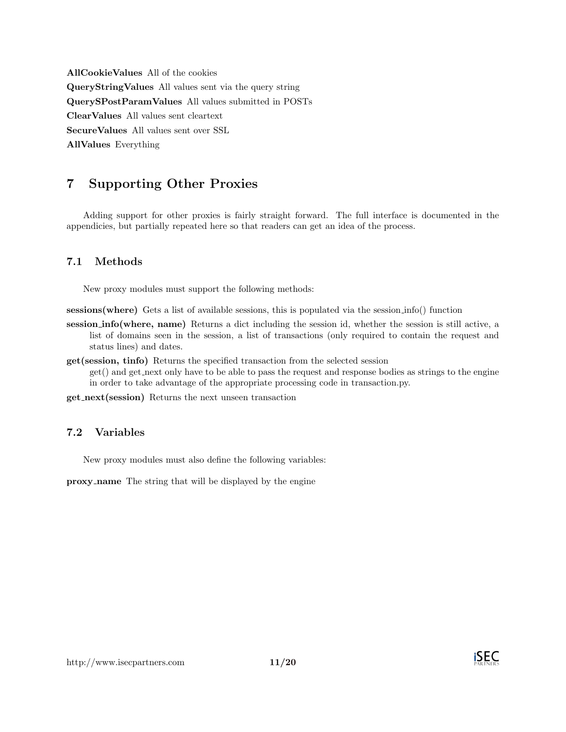AllCookieValues All of the cookies QueryStringValues All values sent via the query string QuerySPostParamValues All values submitted in POSTs ClearValues All values sent cleartext SecureValues All values sent over SSL AllValues Everything

## 7 Supporting Other Proxies

Adding support for other proxies is fairly straight forward. The full interface is documented in the appendicies, but partially repeated here so that readers can get an idea of the process.

## 7.1 Methods

New proxy modules must support the following methods:

sessions(where) Gets a list of available sessions, this is populated via the session info() function

- session info(where, name) Returns a dict including the session id, whether the session is still active, a list of domains seen in the session, a list of transactions (only required to contain the request and status lines) and dates.
- get(session, tinfo) Returns the specified transaction from the selected session get() and get next only have to be able to pass the request and response bodies as strings to the engine in order to take advantage of the appropriate processing code in transaction.py.

get next(session) Returns the next unseen transaction

## 7.2 Variables

New proxy modules must also define the following variables:

proxy name The string that will be displayed by the engine

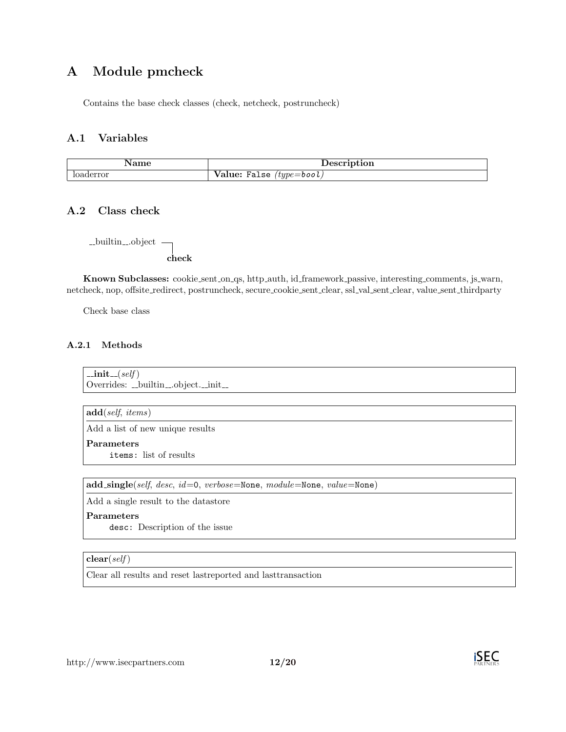## A Module pmcheck

Contains the base check classes (check, netcheck, postruncheck)

## A.1 Variables

| $\sim$ $\sim$ | $\sim$<br><b>ULULL</b>                 |
|---------------|----------------------------------------|
| uerror        | $tupe =$ bool<br>alse<br>alue:<br>- 12 |

## A.2 Class check

 $\_$ builtin ... object $\hspace{1cm}$ check

Known Subclasses: cookie sent on qs, http auth, id framework passive, interesting comments, js warn, netcheck, nop, offsite redirect, postruncheck, secure cookie sent clear, ssl val sent clear, value sent thirdparty

Check base class

### A.2.1 Methods

 $\_{\mathsf{init}\_\mathsf{-(}self)}$ Overrides: \_builtin\_object.\_init\_

 $add(self, items)$ 

Add a list of new unique results

Parameters

items: list of results

add single(self, desc, id=0, verbose=None, module=None, value=None)

Add a single result to the datastore

#### Parameters

desc: Description of the issue

#### $clear(self)$

Clear all results and reset lastreported and lasttransaction

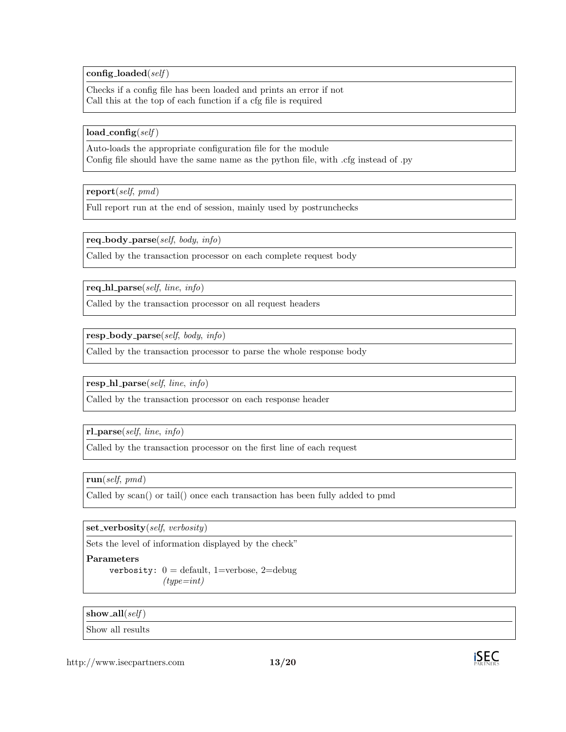config\_loaded( $self$ )

Checks if a config file has been loaded and prints an error if not Call this at the top of each function if a cfg file is required

 $load\_config(self)$ 

Auto-loads the appropriate configuration file for the module Config file should have the same name as the python file, with .cfg instead of .py

 $\mathbf{report}(\text{self}, \text{pmd})$ 

Full report run at the end of session, mainly used by postrunchecks

 $req\_body\_parse(self, body, info)$ 

Called by the transaction processor on each complete request body

req\_hl\_parse(self, line, info)

Called by the transaction processor on all request headers

 $resp_{body\_parse(self, body, info)}$ 

Called by the transaction processor to parse the whole response body

resp\_hl\_parse(self, line, info)

Called by the transaction processor on each response header

 $rl\text{-}parse(self, line, info)$ 

Called by the transaction processor on the first line of each request

run(self, pmd)

Called by scan() or tail() once each transaction has been fully added to pmd

 $set\_verboxity(self, \,verboxity)$ 

Sets the level of information displayed by the check"

#### Parameters

verbosity:  $0 =$  default, 1=verbose, 2=debug  $(type=int)$ 

show\_all( $self$ )

Show all results

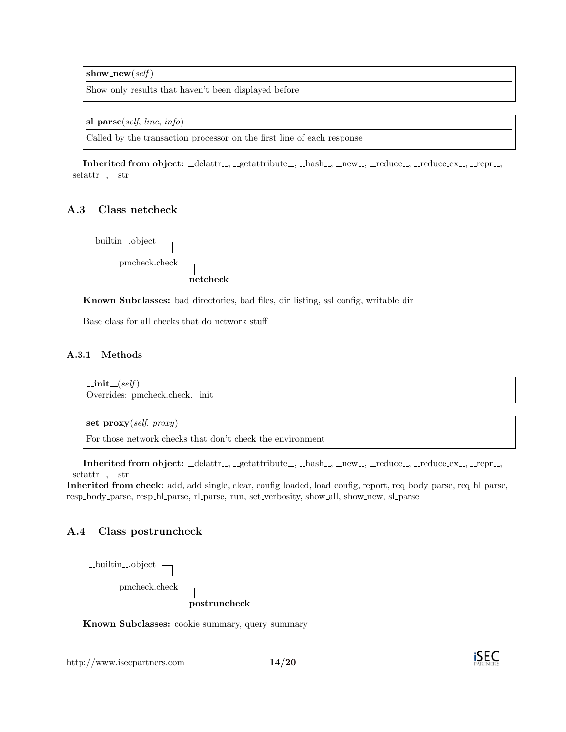show\_new(self)

Show only results that haven't been displayed before

 $sl\_parse(self, line, info)$ 

Called by the transaction processor on the first line of each response

 $\text{Inherited from object: }\_\_\text{default}.\_\_\text{getattribute}\_\text{.}$   $\_\text{hash}\_\text{.}$   $\_\text{new}\_\text{.}$   $\_\text{reduce}\_\text{.}$   $\_\text{.}$  reduce  $\_\text{ex}\_\text{.}$   $\_\text{.}$   $\_\text{repr}\_\text{.}$  $-$ setattr $-$ ,  $-$ str $-$ 

#### A.3 Class netcheck

 $\_$ builtin  $\_$ object  $\Box$ pmcheck.check netcheck

Known Subclasses: bad directories, bad files, dir listing, ssl config, writable dir

Base class for all checks that do network stuff

#### A.3.1 Methods

 $\_{\rm init}$  $\_{(self)}$ Overrides: pmcheck.check.\_init\_

 $set\_proxy(self, proxy)$ 

For those network checks that don't check the environment

 $\text{Inherited from object: }\_\_\text{default}.\_\_\text{getattribute}\_\text{.}$   $\_\text{hash}\_\text{.}$   $\_\text{new}\_\text{.}$   $\_\text{reduce}\_\text{.}$   $\_\text{.}$  reduce  $\_\text{ex}\_\text{.}$   $\_\text{.}$   $\_\text{repr}\_\text{.}$  $-$ setattr $-$ ,  $-$ str $-$ 

Inherited from check: add, add single, clear, config loaded, load config, report, req body parse, req hl parse, resp\_body\_parse, resp\_hl\_parse, rl\_parse, run, set\_verbosity, show\_all, show\_new, sl\_parse

## A.4 Class postruncheck

| $\text{-}\text{builtin}\text{-}\text{object}$ - |              |
|-------------------------------------------------|--------------|
| pmcheck.check $\qquad$                          |              |
|                                                 | postruncheck |

Known Subclasses: cookie summary, query summary

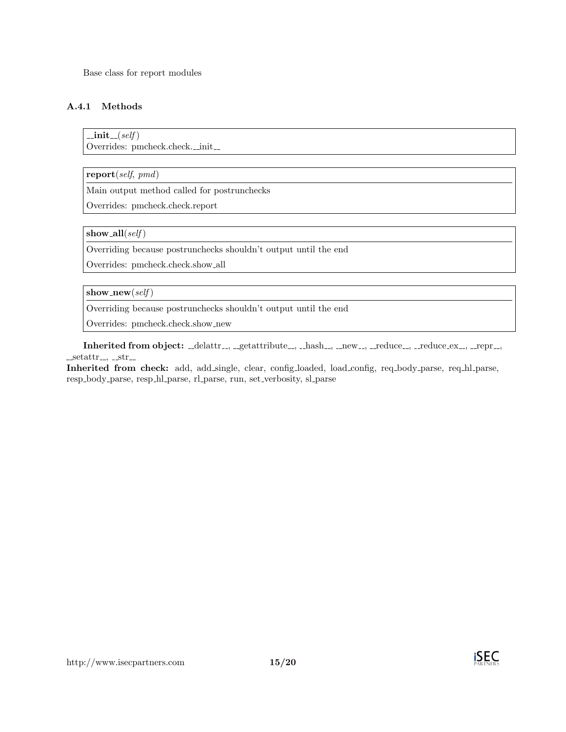Base class for report modules

## A.4.1 Methods

 $\text{unit} \_\textit{self}$ Overrides: pmcheck.check.\_init\_

report(self, pmd)

Main output method called for postrunchecks

Overrides: pmcheck.check.report

show\_all( $self$ )

Overriding because postrunchecks shouldn't output until the end

Overrides: pmcheck.check.show all

show\_new(self)

Overriding because postrunchecks shouldn't output until the end

Overrides: pmcheck.check.show new

Inherited from object: \_delattr\_, \_getattribute\_, \_hash\_, \_new\_, \_reduce\_, \_reduce\_ex\_, \_repr\_,  $_ -setattr_-, -str_-.$ 

Inherited from check: add, add single, clear, config loaded, load config, req body parse, req hl parse, resp body parse, resp hl parse, rl parse, run, set verbosity, sl parse

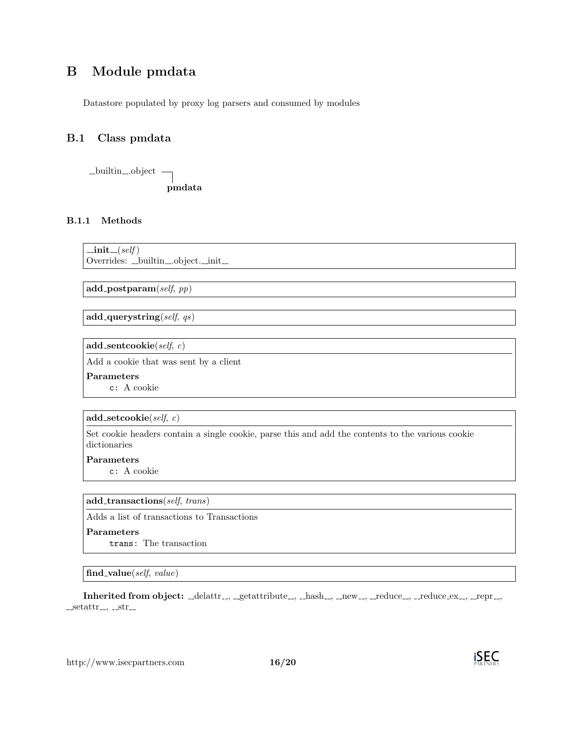## B Module pmdata

Datastore populated by proxy log parsers and consumed by modules

## B.1 Class pmdata



### B.1.1 Methods

 $\text{unit} \text{...}(self)$ 

Overrides: \_builtin\_object.\_init\_

 $add\_postparam(self, pp)$ 

add\_querystring(self,  $qs$ )

add\_sentcookie $(self, c)$ 

Add a cookie that was sent by a client

Parameters

c: A cookie

#### add\_setcookie(self, c)

Set cookie headers contain a single cookie, parse this and add the contents to the various cookie dictionaries

#### Parameters

c: A cookie

#### add transactions(self, trans)

Adds a list of transactions to Transactions

#### Parameters

trans: The transaction

#### find\_value(self,  $value$ )

Inherited from object: \_delattr\_, \_getattribute\_, \_hash\_, \_new\_, \_reduce\_, \_reduce\_ex\_, \_repr\_,  $-$ setattr $-$ ,  $-$ str $-$ 

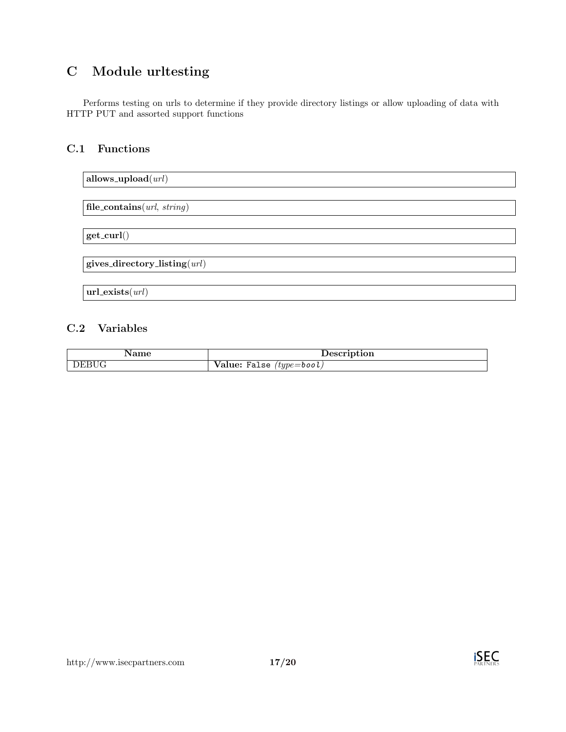## C Module urltesting

Performs testing on urls to determine if they provide directory listings or allow uploading of data with HTTP PUT and assorted support functions

## C.1 Functions



## C.2 Variables

|       | tıon                                            |
|-------|-------------------------------------------------|
| DEBUG | $^\prime type =$ bool $_\prime$<br>Value: False |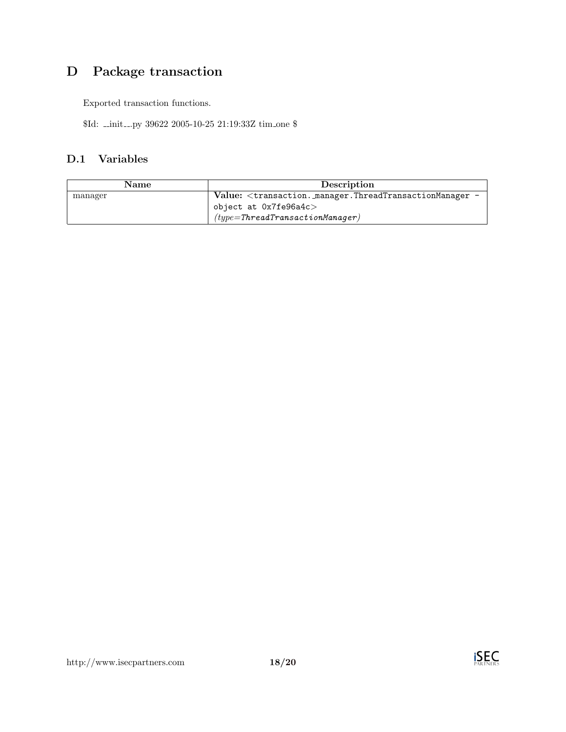# D Package transaction

Exported transaction functions.

 $Id:$  \_init\_.py 39622 2005-10-25 21:19:33Z  $tim\_one$   $\$ 

## D.1 Variables

| Name    | Description                                                       |
|---------|-------------------------------------------------------------------|
| manager | Value: $\langle$ transaction. manager. ThreadTransactionManager - |
|         | object at $0x7f$ e $96a4c>$                                       |
|         | $(type = ThreadTransactionManager)$                               |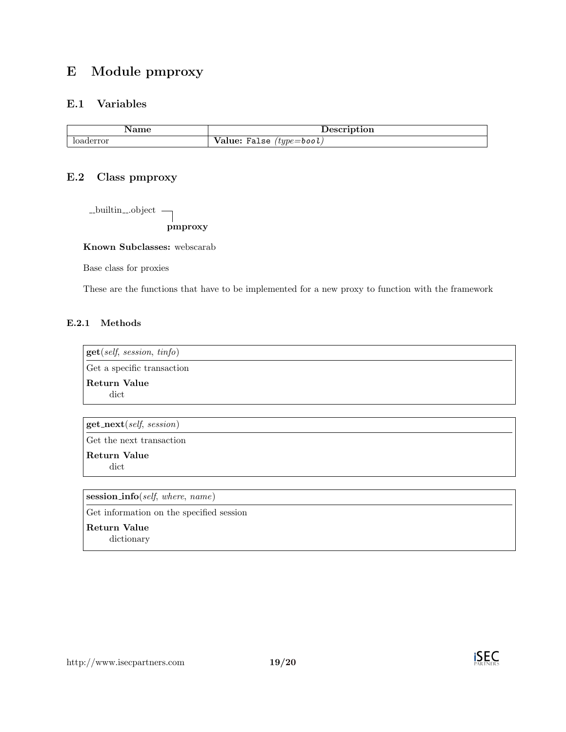## E Module pmproxy

## E.1 Variables

| $\sim$ $\sim$ $\sim$<br>the contract of the contract of the        |
|--------------------------------------------------------------------|
| - -<br>alue:/<br>$t$ u $pe$ $=$ bool<br>False<br>$\boldsymbol{J1}$ |

## E.2 Class pmproxy

 $\_$ builtin $\_\mathrm{o}$ object $\_$ 

pmproxy

Known Subclasses: webscarab

Base class for proxies

These are the functions that have to be implemented for a new proxy to function with the framework

### E.2.1 Methods

get(self, session, tinfo) Get a specific transaction Return Value dict

 $get\_next(self, session)$ 

Get the next transaction

Return Value dict

session\_info(self, where, name)

Get information on the specified session

Return Value dictionary